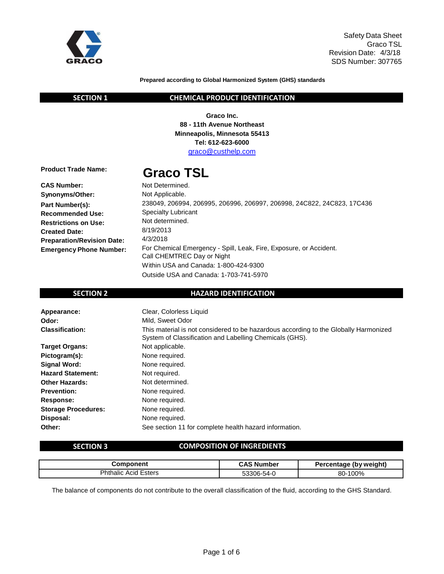

Safety Data Sheet Graco TSL Revision Date: 4/3/18 SDS Number: 307765

### **Prepared according to Global Harmonized System (GHS) standards**

### **SECTION 1 CHEMICAL PRODUCT IDENTIFICATION**

**Graco Inc. 88 - 11th Avenue Northeast Minneapolis, Minnesota 55413 Tel: 612-623-6000** [graco@custhelp.com](mailto:graco@custhelp.com)

**Product Trade Name:** 

# **Graco TSL**

| <b>CAS Number:</b>                | Not Determined.                                                        |
|-----------------------------------|------------------------------------------------------------------------|
| Synonyms/Other:                   | Not Applicable.                                                        |
| Part Number(s):                   | 238049, 206994, 206995, 206996, 206997, 206998, 24C822, 24C823, 17C436 |
| <b>Recommended Use:</b>           | <b>Specialty Lubricant</b>                                             |
| <b>Restrictions on Use:</b>       | Not determined.                                                        |
| <b>Created Date:</b>              | 8/19/2013                                                              |
| <b>Preparation/Revision Date:</b> | 4/3/2018                                                               |
| <b>Emergency Phone Number:</b>    | For Chemical Emergency - Spill, Leak, Fire, Exposure, or Accident.     |
|                                   | Call CHEMTREC Day or Night                                             |
|                                   | Within USA and Canada: 1-800-424-9300                                  |

Outside USA and Canada: 1-703-741-5970

### **SECTION 2 HAZARD IDENTIFICATION**

| Appearance:                | Clear, Colorless Liquid                                                                                                                         |
|----------------------------|-------------------------------------------------------------------------------------------------------------------------------------------------|
| Odor:                      | Mild. Sweet Odor                                                                                                                                |
| <b>Classification:</b>     | This material is not considered to be hazardous according to the Globally Harmonized<br>System of Classification and Labelling Chemicals (GHS). |
| <b>Target Organs:</b>      | Not applicable.                                                                                                                                 |
| Pictogram(s):              | None required.                                                                                                                                  |
| Signal Word:               | None required.                                                                                                                                  |
| <b>Hazard Statement:</b>   | Not required.                                                                                                                                   |
| <b>Other Hazards:</b>      | Not determined.                                                                                                                                 |
| <b>Prevention:</b>         | None required.                                                                                                                                  |
| Response:                  | None required.                                                                                                                                  |
| <b>Storage Procedures:</b> | None required.                                                                                                                                  |
| Disposal:                  | None required.                                                                                                                                  |
| Other:                     | See section 11 for complete health hazard information.                                                                                          |

### **SECTION 3 COMPOSITION OF INGREDIENTS**

| Component            | <b>CAS Number</b> | Percentage (by weight) |
|----------------------|-------------------|------------------------|
| Phthalic Acid Esters | 53306-54-0        | 80-100%                |

The balance of components do not contribute to the overall classification of the fluid, according to the GHS Standard.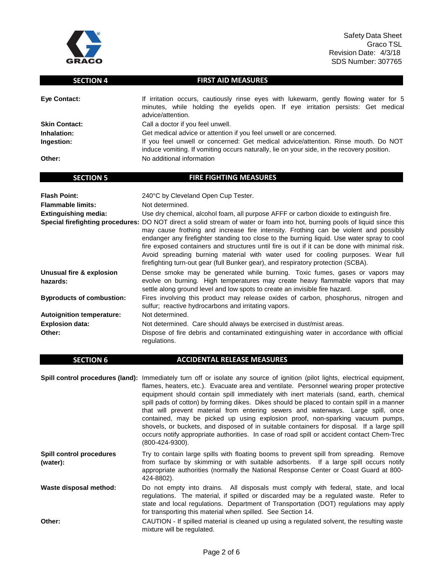

Safety Data Sheet Graco TSL Revision Date: 4/3/18 SDS Number: 307765

### **SECTION 4 FIRST AID MEASURES**

| Eye Contact:         | If irritation occurs, cautiously rinse eyes with lukewarm, gently flowing water for 5<br>minutes, while holding the eyelids open. If eye irritation persists: Get medical<br>advice/attention. |  |
|----------------------|------------------------------------------------------------------------------------------------------------------------------------------------------------------------------------------------|--|
| <b>Skin Contact:</b> | Call a doctor if you feel unwell.                                                                                                                                                              |  |
| Inhalation:          | Get medical advice or attention if you feel unwell or are concerned.                                                                                                                           |  |
| Ingestion:           | If you feel unwell or concerned: Get medical advice/attention. Rinse mouth. Do NOT<br>induce vomiting. If vomiting occurs naturally, lie on your side, in the recovery position.               |  |
| Other:               | No additional information                                                                                                                                                                      |  |

| <b>Flash Point:</b>                  | 240°C by Cleveland Open Cup Tester.                                                                                                                                                                                                                                                                                                                                                                                                                                                                                                                                                         |
|--------------------------------------|---------------------------------------------------------------------------------------------------------------------------------------------------------------------------------------------------------------------------------------------------------------------------------------------------------------------------------------------------------------------------------------------------------------------------------------------------------------------------------------------------------------------------------------------------------------------------------------------|
| <b>Flammable limits:</b>             | Not determined.                                                                                                                                                                                                                                                                                                                                                                                                                                                                                                                                                                             |
| <b>Extinguishing media:</b>          | Use dry chemical, alcohol foam, all purpose AFFF or carbon dioxide to extinguish fire.                                                                                                                                                                                                                                                                                                                                                                                                                                                                                                      |
|                                      | Special firefighting procedures: DO NOT direct a solid stream of water or foam into hot, burning pools of liquid since this<br>may cause frothing and increase fire intensity. Frothing can be violent and possibly<br>endanger any firefighter standing too close to the burning liguid. Use water spray to cool<br>fire exposed containers and structures until fire is out if it can be done with minimal risk.<br>Avoid spreading burning material with water used for cooling purposes. Wear full<br>firefighting turn-out gear (full Bunker gear), and respiratory protection (SCBA). |
| Unusual fire & explosion<br>hazards: | Dense smoke may be generated while burning. Toxic fumes, gases or vapors may<br>evolve on burning. High temperatures may create heavy flammable vapors that may<br>settle along ground level and low spots to create an invisible fire hazard.                                                                                                                                                                                                                                                                                                                                              |
| <b>Byproducts of combustion:</b>     | Fires involving this product may release oxides of carbon, phosphorus, nitrogen and<br>sulfur; reactive hydrocarbons and irritating vapors.                                                                                                                                                                                                                                                                                                                                                                                                                                                 |
| <b>Autoignition temperature:</b>     | Not determined.                                                                                                                                                                                                                                                                                                                                                                                                                                                                                                                                                                             |
| <b>Explosion data:</b>               | Not determined. Care should always be exercised in dust/mist areas.                                                                                                                                                                                                                                                                                                                                                                                                                                                                                                                         |
| Other:                               | Dispose of fire debris and contaminated extinguishing water in accordance with official<br>regulations.                                                                                                                                                                                                                                                                                                                                                                                                                                                                                     |

### **SECTION 6 ACCIDENTAL RELEASE MEASURES**

**SECTION 5 FIRE FIGHTING MEASURES** 

**Spill control procedures (land):** Immediately turn off or isolate any source of ignition (pilot lights, electrical equipment, flames, heaters, etc.). Evacuate area and ventilate. Personnel wearing proper protective equipment should contain spill immediately with inert materials (sand, earth, chemical spill pads of cotton) by forming dikes. Dikes should be placed to contain spill in a manner that will prevent material from entering sewers and waterways. Large spill, once contained, may be picked up using explosion proof, non-sparking vacuum pumps, shovels, or buckets, and disposed of in suitable containers for disposal. If a large spill occurs notify appropriate authorities. In case of road spill or accident contact Chem-Trec (800-424-9300). **Spill control procedures (water):** Try to contain large spills with floating booms to prevent spill from spreading. Remove from surface by skimming or with suitable adsorbents. If a large spill occurs notify appropriate authorities (normally the National Response Center or Coast Guard at 800- 424-8802).

**Waste disposal method:** Do not empty into drains. All disposals must comply with federal, state, and local regulations. The material, if spilled or discarded may be a regulated waste. Refer to state and local regulations. Department of Transportation (DOT) regulations may apply for transporting this material when spilled. See Section 14.

**Other:** CAUTION - If spilled material is cleaned up using a regulated solvent, the resulting waste mixture will be regulated.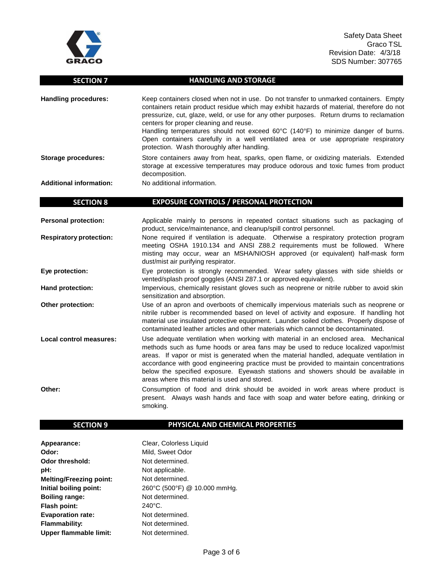

## **SECTION 7 HANDLING AND STORAGE**

| <b>Handling procedures:</b>    | Keep containers closed when not in use. Do not transfer to unmarked containers. Empty<br>containers retain product residue which may exhibit hazards of material, therefore do not<br>pressurize, cut, glaze, weld, or use for any other purposes. Return drums to reclamation<br>centers for proper cleaning and reuse.<br>Handling temperatures should not exceed 60°C (140°F) to minimize danger of burns.<br>Open containers carefully in a well ventilated area or use appropriate respiratory<br>protection. Wash thoroughly after handling. |
|--------------------------------|----------------------------------------------------------------------------------------------------------------------------------------------------------------------------------------------------------------------------------------------------------------------------------------------------------------------------------------------------------------------------------------------------------------------------------------------------------------------------------------------------------------------------------------------------|
| Storage procedures:            | Store containers away from heat, sparks, open flame, or oxidizing materials. Extended<br>storage at excessive temperatures may produce odorous and toxic fumes from product<br>decomposition.                                                                                                                                                                                                                                                                                                                                                      |
| <b>Additional information:</b> | No additional information.                                                                                                                                                                                                                                                                                                                                                                                                                                                                                                                         |
| CEATIANI O                     | <b>EVBOCURE CONTROLS / REBSONIAL BROTECTION</b>                                                                                                                                                                                                                                                                                                                                                                                                                                                                                                    |

### **SECTION 8 EXPOSURE CONTROLS / PERSONAL PROTECTION**

| <b>Personal protection:</b>    | Applicable mainly to persons in repeated contact situations such as packaging of<br>product, service/maintenance, and cleanup/spill control personnel.                                                                                                                                                                                                                                                                                                                                              |  |
|--------------------------------|-----------------------------------------------------------------------------------------------------------------------------------------------------------------------------------------------------------------------------------------------------------------------------------------------------------------------------------------------------------------------------------------------------------------------------------------------------------------------------------------------------|--|
| <b>Respiratory protection:</b> | None required if ventilation is adequate. Otherwise a respiratory protection program<br>meeting OSHA 1910.134 and ANSI Z88.2 requirements must be followed. Where<br>misting may occur, wear an MSHA/NIOSH approved (or equivalent) half-mask form<br>dust/mist air purifying respirator.                                                                                                                                                                                                           |  |
| Eye protection:                | Eye protection is strongly recommended. Wear safety glasses with side shields or<br>vented/splash proof goggles (ANSI Z87.1 or approved equivalent).                                                                                                                                                                                                                                                                                                                                                |  |
| Hand protection:               | Impervious, chemically resistant gloves such as neoprene or nitrile rubber to avoid skin<br>sensitization and absorption.                                                                                                                                                                                                                                                                                                                                                                           |  |
| Other protection:              | Use of an apron and overboots of chemically impervious materials such as neoprene or<br>nitrile rubber is recommended based on level of activity and exposure. If handling hot<br>material use insulated protective equipment. Launder soiled clothes. Properly dispose of<br>contaminated leather articles and other materials which cannot be decontaminated.                                                                                                                                     |  |
| Local control measures:        | Use adequate ventilation when working with material in an enclosed area. Mechanical<br>methods such as fume hoods or area fans may be used to reduce localized vapor/mist<br>areas. If vapor or mist is generated when the material handled, adequate ventilation in<br>accordance with good engineering practice must be provided to maintain concentrations<br>below the specified exposure. Eyewash stations and showers should be available in<br>areas where this material is used and stored. |  |
| Other:                         | Consumption of food and drink should be avoided in work areas where product is<br>present. Always wash hands and face with soap and water before eating, drinking or<br>smoking.                                                                                                                                                                                                                                                                                                                    |  |

# **SECTION 9 PHYSICAL AND CHEMICAL PROPERTIES**

| Appearance:                    | Clear, Colorless Liquid      |
|--------------------------------|------------------------------|
| Odor:                          | Mild, Sweet Odor             |
| <b>Odor threshold:</b>         | Not determined.              |
| pH:                            | Not applicable.              |
| <b>Melting/Freezing point:</b> | Not determined.              |
| Initial boiling point:         | 260°C (500°F) @ 10.000 mmHg. |
| <b>Boiling range:</b>          | Not determined.              |
| <b>Flash point:</b>            | $240^{\circ}$ C.             |
| <b>Evaporation rate:</b>       | Not determined.              |
| <b>Flammability:</b>           | Not determined.              |
| Upper flammable limit:         | Not determined.              |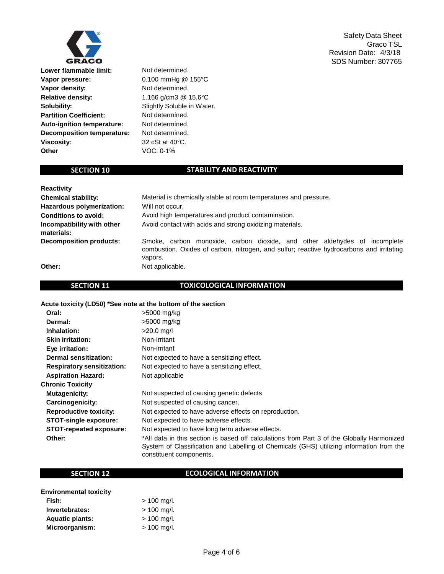

**Lower flammable limit:** Not determined. **Vapor pressure:** 0.100 mmHg @ 155°C **Vapor density:** Not determined. **Relative density:** 1.166 g/cm3 @ 15.6°C **Solubility:** Slightly Soluble in Water. **Partition Coefficient:** Not determined. **Auto-ignition temperature:** Not determined. **Decomposition temperature:** Not determined. **Viscosity:** 32 cSt at 40°C. **Other** VOC: 0-1%

### **SECTION 10** STABILITY AND REACTIVITY

| <b>Reactivity</b>                        |                                                                                                                                                                                  |  |
|------------------------------------------|----------------------------------------------------------------------------------------------------------------------------------------------------------------------------------|--|
| <b>Chemical stability:</b>               | Material is chemically stable at room temperatures and pressure.                                                                                                                 |  |
| Hazardous polymerization:                | Will not occur.                                                                                                                                                                  |  |
| <b>Conditions to avoid:</b>              | Avoid high temperatures and product contamination.                                                                                                                               |  |
| Incompatibility with other<br>materials: | Avoid contact with acids and strong oxidizing materials.                                                                                                                         |  |
| <b>Decomposition products:</b>           | Smoke, carbon monoxide, carbon dioxide, and other aldehydes of incomplete<br>combustion. Oxides of carbon, nitrogen, and sulfur; reactive hydrocarbons and irritating<br>vapors. |  |
| Other:                                   | Not applicable.                                                                                                                                                                  |  |

### **SECTION 11 TOXICOLOGICAL INFORMATION**

### **Acute toxicity (LD50) \*See note at the bottom of the section**

| Oral:                             | >5000 mg/kg                                                                                                                                                                                                       |
|-----------------------------------|-------------------------------------------------------------------------------------------------------------------------------------------------------------------------------------------------------------------|
| Dermal:                           | >5000 mg/kg                                                                                                                                                                                                       |
| Inhalation:                       | $>20.0$ mg/l                                                                                                                                                                                                      |
| <b>Skin irritation:</b>           | Non-irritant                                                                                                                                                                                                      |
| Eye irritation:                   | Non-irritant                                                                                                                                                                                                      |
| <b>Dermal sensitization:</b>      | Not expected to have a sensitizing effect.                                                                                                                                                                        |
| <b>Respiratory sensitization:</b> | Not expected to have a sensitizing effect.                                                                                                                                                                        |
| <b>Aspiration Hazard:</b>         | Not applicable                                                                                                                                                                                                    |
| <b>Chronic Toxicity</b>           |                                                                                                                                                                                                                   |
| Mutagenicity:                     | Not suspected of causing genetic defects                                                                                                                                                                          |
| Carcinogenicity:                  | Not suspected of causing cancer.                                                                                                                                                                                  |
| <b>Reproductive toxicity:</b>     | Not expected to have adverse effects on reproduction.                                                                                                                                                             |
| <b>STOT-single exposure:</b>      | Not expected to have adverse effects.                                                                                                                                                                             |
| <b>STOT-repeated exposure:</b>    | Not expected to have long term adverse effects.                                                                                                                                                                   |
| Other:                            | *All data in this section is based off calculations from Part 3 of the Globally Harmonized<br>System of Classification and Labelling of Chemicals (GHS) utilizing information from the<br>constituent components. |

### **SECTION 12 ECOLOGICAL INFORMATION**

| <b>Environmental toxicity</b> |               |
|-------------------------------|---------------|
| Fish:                         | $> 100$ mg/l. |
| Invertebrates:                | $> 100$ mg/l. |
| <b>Aquatic plants:</b>        | $> 100$ mg/l. |
| Microorganism:                | $> 100$ mg/l. |

Safety Data Sheet Graco TSL Revision Date: 4/3/18 SDS Number: 307765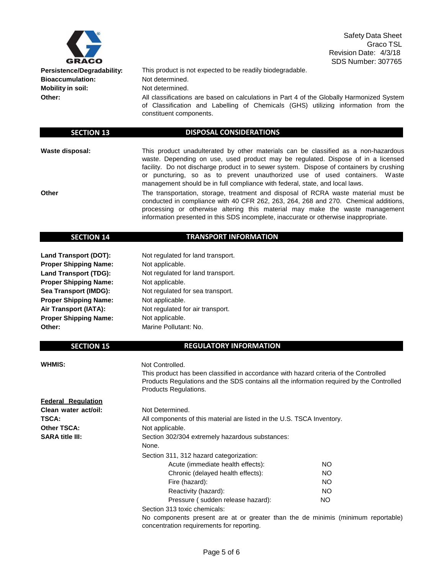

Safety Data Sheet Graco TSL Revision Date: 4/3/18 SDS Number: 307765

**Bioaccumulation:** Not determined. **Mobility in soil:** Not determined.

**Persistence/Degradability:** This product is not expected to be readily biodegradable.

**Other:** All classifications are based on calculations in Part 4 of the Globally Harmonized System of Classification and Labelling of Chemicals (GHS) utilizing information from the constituent components.

#### **SECTION 13 DISPOSAL CONSIDERATIONS**

**Waste disposal:** This product unadulterated by other materials can be classified as a non-hazardous waste. Depending on use, used product may be regulated. Dispose of in a licensed facility. Do not discharge product in to sewer system. Dispose of containers by crushing or puncturing, so as to prevent unauthorized use of used containers. Waste management should be in full compliance with federal, state, and local laws.

**Other** The transportation, storage, treatment and disposal of RCRA waste material must be conducted in compliance with 40 CFR 262, 263, 264, 268 and 270. Chemical additions, processing or otherwise altering this material may make the waste management information presented in this SDS incomplete, inaccurate or otherwise inappropriate.

#### **SECTION 14 TRANSPORT INFORMATION**

**Land Transport (DOT):** Not regulated for land transport. **Proper Shipping Name:** Not applicable. **Proper Shipping Name:** Not applicable. **Proper Shipping Name:** Not applicable. **Proper Shipping Name:** Not applicable. **Other:** Marine Pollutant: No.

**Land Transport (TDG):** Not regulated for land transport. **Sea Transport (IMDG):** Not regulated for sea transport. Air Transport (IATA): Not regulated for air transport.

#### **SECTION 15 REGULATORY INFORMATION**

**WHMIS:** Not Controlled.

This product has been classified in accordance with hazard criteria of the Controlled Products Regulations and the SDS contains all the information required by the Controlled Products Regulations.

| <b>Federal Regulation</b> |                                                                        |           |
|---------------------------|------------------------------------------------------------------------|-----------|
| Clean water act/oil:      | Not Determined.                                                        |           |
| <b>TSCA:</b>              | All components of this material are listed in the U.S. TSCA Inventory. |           |
| <b>Other TSCA:</b>        | Not applicable.                                                        |           |
| <b>SARA title III:</b>    | Section 302/304 extremely hazardous substances:<br>None.               |           |
|                           | Section 311, 312 hazard categorization:                                |           |
|                           | Acute (immediate health effects):                                      | NO.       |
|                           | Chronic (delayed health effects):                                      | NO.       |
|                           | Fire (hazard):                                                         | NO.       |
|                           | Reactivity (hazard):                                                   | <b>NO</b> |
|                           | Pressure (sudden release hazard):                                      | <b>NO</b> |
|                           | Section 313 toxic chemicals:                                           |           |

No components present are at or greater than the de minimis (minimum reportable) concentration requirements for reporting.